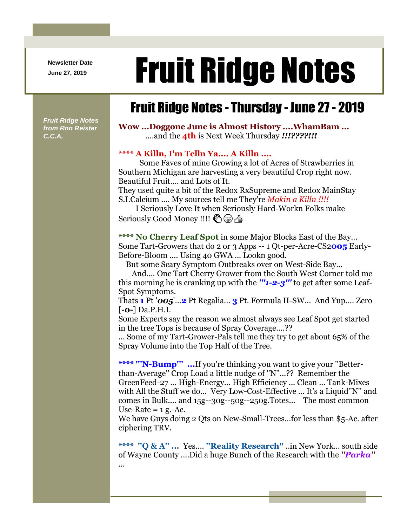**Newsletter Date**

# Newsletter Date **Fruit Ridge Notes**

## Fruit Ridge Notes - Thursday - June 27 - 2019

*Fruit Ridge Notes from Ron Reister C.C.A.*

**Wow ...Doggone June is Almost History ....WhamBam ...** ....and the **4th** is Next Week Thursday *!!!????!!!*

#### **\*\*\*\* A Killn, I'm Telln Ya.... A Killn ....**

Some Faves of mine Growing a lot of Acres of Strawberries in Southern Michigan are harvesting a very beautiful Crop right now. Beautiful Fruit.... and Lots of It.

They used quite a bit of the Redox RxSupreme and Redox MainStay S.I.Calcium .... My sources tell me They're *Makin a Killn !!!!*

I Seriously Love It when Seriously Hard-Workn Folks make Seriously Good Money !!!! S @ A

**\*\*\*\* No Cherry Leaf Spot** in some Major Blocks East of the Bay... Some Tart-Growers that do 2 or 3 Apps -- 1 Qt-per-Acre-CS2**005** Early-Before-Bloom .... Using 40 GWA ... Lookn good.

But some Scary Symptom Outbreaks over on West-Side Bay...

And.... One Tart Cherry Grower from the South West Corner told me this morning he is cranking up with the *'''1-2-3'''* to get after some Leaf-Spot Symptoms.

Thats **1** Pt '*005*'...**2** Pt Regalia... **3** Pt. Formula II-SW... And Yup.... Zero [**-0-**] Da.P.H.I.

Some Experts say the reason we almost always see Leaf Spot get started in the tree Tops is because of Spray Coverage....??

... Some of my Tart-Grower-Pals tell me they try to get about 65% of the Spray Volume into the Top Half of the Tree.

**\*\*\*\* '''N-Bump''' ...**If you're thinking you want to give your ''Betterthan-Average'' Crop Load a little nudge of ''N''...?? Remember the GreenFeed-27 ... High-Energy... High Efficiency ... Clean ... Tank-Mixes with All the Stuff we do... Very Low-Cost-Effective ... It's a Liquid''N'' and comes in Bulk.... and 15g--30g--50g--250g.Totes... The most common Use-Rate  $=$  1 g.-Ac.

We have Guys doing 2 Qts on New-Small-Trees...for less than \$5-Ac. after ciphering TRV.

**\*\*\*\* ''Q & A'' ...** Yes.... **''Reality Research''** ..in New York... south side of Wayne County ....Did a huge Bunch of the Research with the *''Parka''* ...